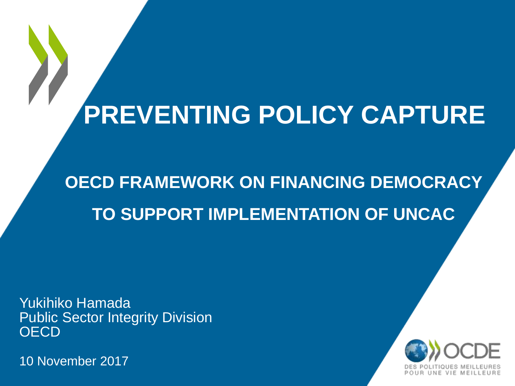## **PREVENTING POLICY CAPTURE**

**OECD FRAMEWORK ON FINANCING DEMOCRACY TO SUPPORT IMPLEMENTATION OF UNCAC**

Yukihiko Hamada Public Sector Integrity Division **OECD** 

10 November 2017

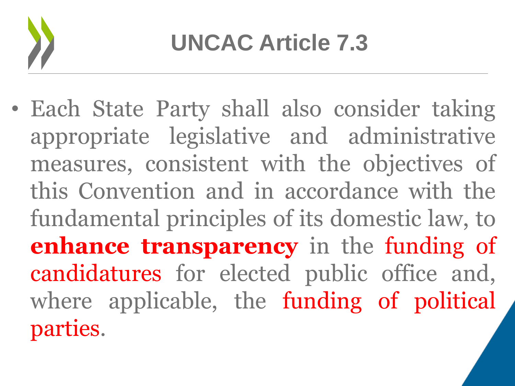

• Each State Party shall also consider taking appropriate legislative and administrative measures, consistent with the objectives of this Convention and in accordance with the fundamental principles of its domestic law, to **enhance transparency** in the funding of candidatures for elected public office and, where applicable, the funding of political parties.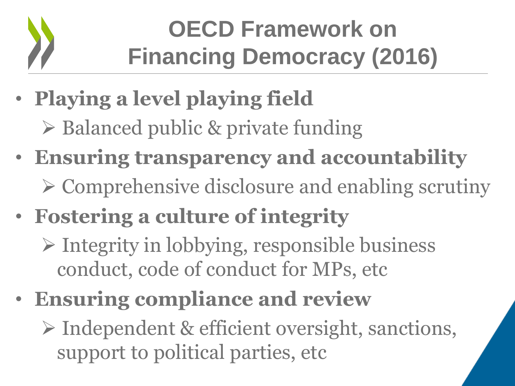

## **OECD Framework on Financing Democracy (2016)**

- **Playing a level playing field** 
	- $\triangleright$  Balanced public & private funding
- **Ensuring transparency and accountability**  $\triangleright$  Comprehensive disclosure and enabling scrutiny
- **Fostering a culture of integrity** 
	- $\triangleright$  Integrity in lobbying, responsible business conduct, code of conduct for MPs, etc
- **Ensuring compliance and review** 
	- Independent & efficient oversight, sanctions, support to political parties, etc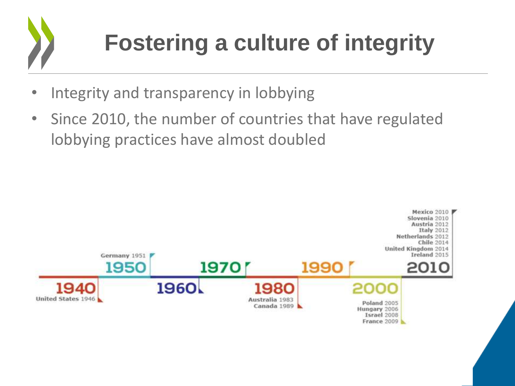

## **Fostering a culture of integrity**

- Integrity and transparency in lobbying
- Since 2010, the number of countries that have regulated lobbying practices have almost doubled

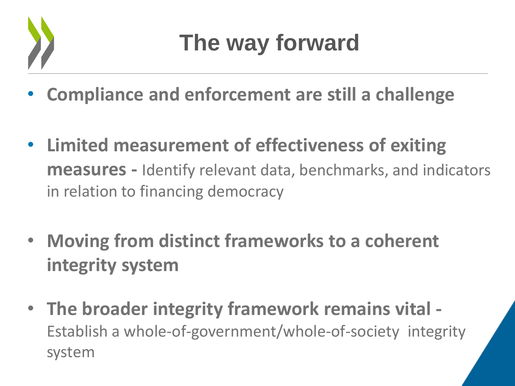

- **Compliance and enforcement are still a challenge**
- **Limited measurement of effectiveness of exiting measures -** Identify relevant data, benchmarks, and indicators in relation to financing democracy
- **Moving from distinct frameworks to a coherent integrity system**
- **The broader integrity framework remains vital -** Establish a whole-of-government/whole-of-society integrity system